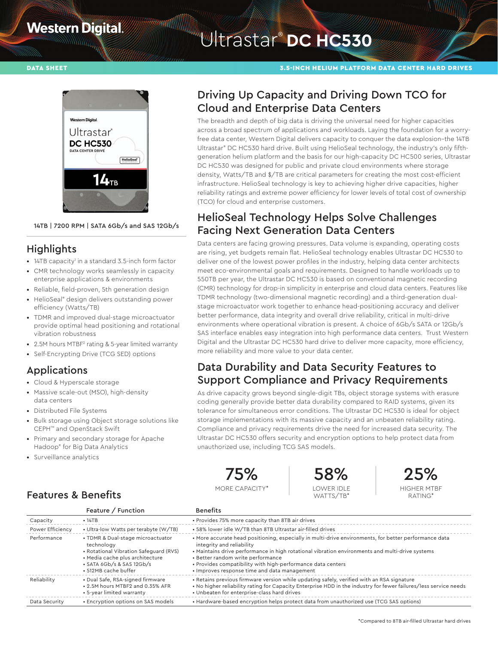# **Western Digital**

# Witrastar<sup>®</sup> DC HC530



14TB | 7200 RPM | SATA 6Gb/s and SAS 12Gb/s

## **Highlights**

- 14TB capacity' in a standard 3.5-inch form factor
- CMR technology works seamlessly in capacity enterprise applications & environments
- Reliable, field-proven, 5th generation design
- HelioSeal® design delivers outstanding power efficiency (Watts/TB)
- TDMR and improved dual-stage microactuator provide optimal head positioning and rotational vibration robustness
- 2.5M hours MTBF<sup>2</sup> rating & 5-year limited warranty
- Self-Encrypting Drive (TCG SED) options

## Applications

- Cloud & Hyperscale storage
- Massive scale-out (MSO), high-density data centers
- Distributed File Systems
- Bulk storage using Object storage solutions like CEPH™ and OpenStack Swift
- Primary and secondary storage for Apache Hadoop® for Big Data Analytics
- Surveillance analytics

Features & Benefits

## Driving Up Capacity and Driving Down TCO for Cloud and Enterprise Data Centers

The breadth and depth of big data is driving the universal need for higher capacities across a broad spectrum of applications and workloads. Laying the foundation for a worryfree data center, Western Digital delivers capacity to conquer the data explosion–the 14TB Ultrastar® DC HC530 hard drive. Built using HelioSeal technology, the industry's only fifthgeneration helium platform and the basis for our high-capacity DC HC500 series, Ultrastar DC HC530 was designed for public and private cloud environments where storage density, Watts/TB and \$/TB are critical parameters for creating the most cost-efficient infrastructure. HelioSeal technology is key to achieving higher drive capacities, higher reliability ratings and extreme power efficiency for lower levels of total cost of ownership (TCO) for cloud and enterprise customers.

# HelioSeal Technology Helps Solve Challenges Facing Next Generation Data Centers

Data centers are facing growing pressures. Data volume is expanding, operating costs are rising, yet budgets remain flat. HelioSeal technology enables Ultrastar DC HC530 to deliver one of the lowest power profiles in the industry, helping data center architects meet eco-environmental goals and requirements. Designed to handle workloads up to 550TB per year, the Ultrastar DC HC530 is based on conventional magnetic recording (CMR) technology for drop-in simplicity in enterprise and cloud data centers. Features like TDMR technology (two-dimensional magnetic recording) and a third-generation dualstage microactuator work together to enhance head-positioning accuracy and deliver better performance, data integrity and overall drive reliability, critical in multi-drive environments where operational vibration is present. A choice of 6Gb/s SATA or 12Gb/s SAS interface enables easy integration into high performance data centers. Trust Western Digital and the Ultrastar DC HC530 hard drive to deliver more capacity, more efficiency, more reliability and more value to your data center.

## Data Durability and Data Security Features to Support Compliance and Privacy Requirements

As drive capacity grows beyond single-digit TBs, object storage systems with erasure coding generally provide better data durability compared to RAID systems, given its tolerance for simultaneous error conditions. The Ultrastar DC HC530 is ideal for object storage implementations with its massive capacity and an unbeaten reliability rating. Compliance and privacy requirements drive the need for increased data security. The Ultrastar DC HC530 offers security and encryption options to help protect data from unauthorized use, including TCG SAS models.







#### Feature / Function Benefits Capacity • 14TB • Provides 75% more capacity than 8TB air drives Power Efficiency • Ultra-low Watts per terabyte (W/TB) • 58% lower idle W/TB than 8TB Ultrastar air-filled drives Performance • TDMR & Dual-stage microactuator technology • Rotational Vibration Safeguard (RVS) • Media cache plus architecture • SATA 6Gb/s & SAS 12Gb/s • 512MB cache buffer • More accurate head positioning, especially in multi-drive environments, for better performance data integrity and reliability • Maintains drive performance in high rotational vibration environments and multi-drive systems • Better random write performance • Provides compatibility with high-performance data centers • Improves response time and data management Reliability • Dual Safe, RSA-signed firmware • 2.5M hours MTBF2 and 0.35% AFR • 5-year limited warranty • Retains previous firmware version while updating safely, verified with an RSA signature • No higher reliability rating for Capacity Enterprise HDD in the industry for fewer failures/less service needs • Unbeaten for enterprise-class hard drives Data Security • Encryption options on SAS models • Hardware-based encryption helps protect data from unauthorized use (TCG SAS options)

### \*Compared to 8TB air-filled Ultrastar hard drives